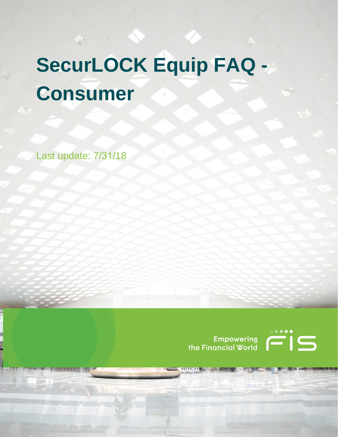# **SecurLOCK Equip FAQ - Consumer**

Last update: 7/31/18)

曾 青眼梦天下时候天下的身体 心

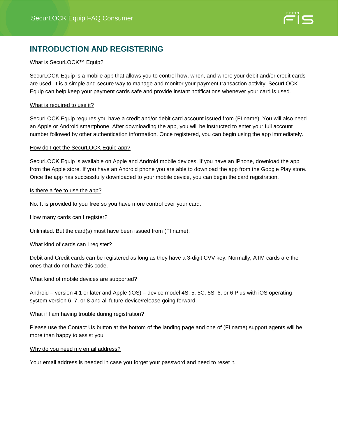

## **INTRODUCTION AND REGISTERING**

#### What is SecurLOCK<sup>™</sup> Equip?

SecurLOCK Equip is a mobile app that allows you to control how, when, and where your debit and/or credit cards are used. It is a simple and secure way to manage and monitor your payment transaction activity. SecurLOCK Equip can help keep your payment cards safe and provide instant notifications whenever your card is used.

#### What is required to use it?

SecurLOCK Equip requires you have a credit and/or debit card account issued from (FI name). You will also need an Apple or Android smartphone. After downloading the app, you will be instructed to enter your full account number followed by other authentication information. Once registered, you can begin using the app immediately.

#### How do I get the SecurLOCK Equip app?

SecurLOCK Equip is available on Apple and Android mobile devices. If you have an iPhone, download the app from the Apple store. If you have an Android phone you are able to download the app from the Google Play store. Once the app has successfully downloaded to your mobile device, you can begin the card registration.

#### Is there a fee to use the app?

No. It is provided to you **free** so you have more control over your card.

#### How many cards can I register?

Unlimited. But the card(s) must have been issued from (FI name).

#### What kind of cards can I register?

Debit and Credit cards can be registered as long as they have a 3-digit CVV key. Normally, ATM cards are the ones that do not have this code.

#### What kind of mobile devices are supported?

Android – version 4.1 or later and Apple (iOS) – device model 4S, 5, 5C, 5S, 6, or 6 Plus with iOS operating system version 6, 7, or 8 and all future device/release going forward.

#### What if I am having trouble during registration?

Please use the Contact Us button at the bottom of the landing page and one of (FI name) support agents will be more than happy to assist you.

#### Why do you need my email address?

Your email address is needed in case you forget your password and need to reset it.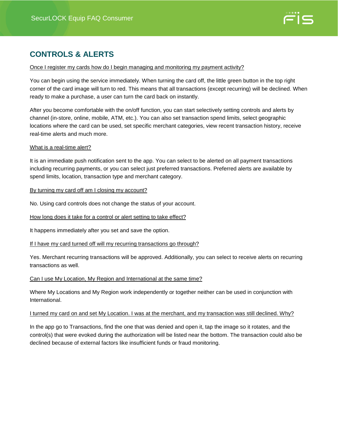

## **CONTROLS & ALERTS**

#### Once I register my cards how do I begin managing and monitoring my payment activity?

You can begin using the service immediately. When turning the card off, the little green button in the top right corner of the card image will turn to red. This means that all transactions (except recurring) will be declined. When ready to make a purchase, a user can turn the card back on instantly.

After you become comfortable with the on/off function, you can start selectively setting controls and alerts by channel (in-store, online, mobile, ATM, etc.). You can also set transaction spend limits, select geographic locations where the card can be used, set specific merchant categories, view recent transaction history, receive real-time alerts and much more.

#### What is a real-time alert?

It is an immediate push notification sent to the app. You can select to be alerted on all payment transactions including recurring payments, or you can select just preferred transactions. Preferred alerts are available by spend limits, location, transaction type and merchant category.

By turning my card off am I closing my account?

No. Using card controls does not change the status of your account.

How long does it take for a control or alert setting to take effect?

It happens immediately after you set and save the option.

If I have my card turned off will my recurring transactions go through?

Yes. Merchant recurring transactions will be approved. Additionally, you can select to receive alerts on recurring transactions as well.

#### Can I use My Location, My Region and International at the same time?

Where My Locations and My Region work independently or together neither can be used in conjunction with International.

#### I turned my card on and set My Location. I was at the merchant, and my transaction was still declined. Why?

In the app go to Transactions, find the one that was denied and open it, tap the image so it rotates, and the control(s) that were evoked during the authorization will be listed near the bottom. The transaction could also be declined because of external factors like insufficient funds or fraud monitoring.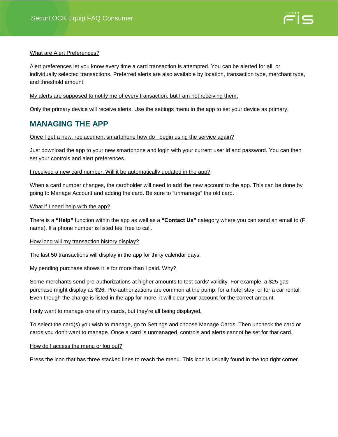

#### What are Alert Preferences?

Alert preferences let you know every time a card transaction is attempted. You can be alerted for all, or individually selected transactions. Preferred alerts are also available by location, transaction type, merchant type, and threshold amount.

#### My alerts are supposed to notify me of every transaction, but I am not receiving them.

Only the primary device will receive alerts. Use the settings menu in the app to set your device as primary.

### **MANAGING THE APP**

#### Once I get a new, replacement smartphone how do I begin using the service again?

Just download the app to your new smartphone and login with your current user id and password. You can then set your controls and alert preferences.

#### I received a new card number. Will it be automatically updated in the app?

When a card number changes, the cardholder will need to add the new account to the app. This can be done by going to Manage Account and adding the card. Be sure to "unmanage" the old card.

#### What if I need help with the app?

There is a **"Help"** function within the app as well as a **"Contact Us"** category where you can send an email to (FI name). If a phone number is listed feel free to call.

#### How long will my transaction history display?

The last 50 transactions will display in the app for thirty calendar days.

#### My pending purchase shows it is for more than I paid. Why?

Some merchants send pre-authorizations at higher amounts to test cards' validity. For example, a \$25 gas purchase might display as \$26. Pre-authorizations are common at the pump, for a hotel stay, or for a car rental. Even though the charge is listed in the app for more, it will clear your account for the correct amount.

#### I only want to manage one of my cards, but they're all being displayed.

To select the card(s) you wish to manage, go to Settings and choose Manage Cards. Then uncheck the card or cards you don't want to manage. Once a card is unmanaged, controls and alerts cannot be set for that card.

#### How do I access the menu or log out?

Press the icon that has three stacked lines to reach the menu. This icon is usually found in the top right corner.